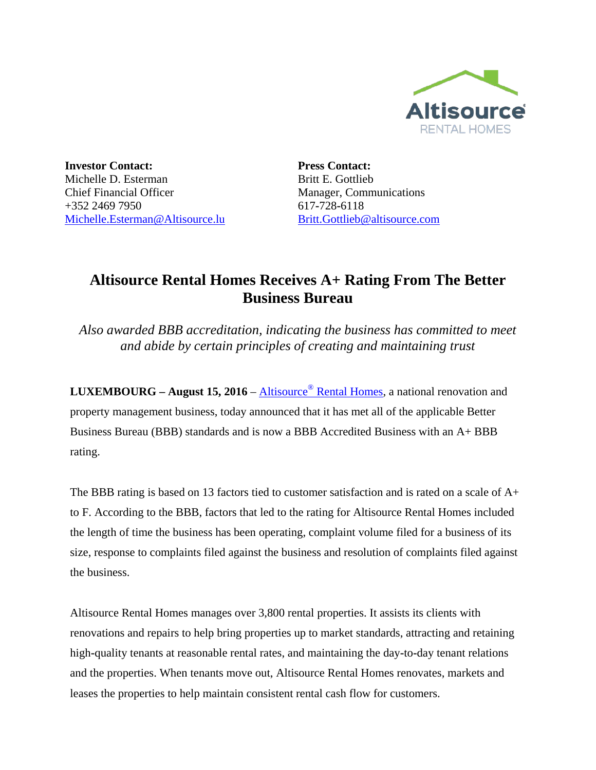

**Investor Contact:** Michelle D. Esterman Chief Financial Officer +352 2469 7950 [Michelle.Esterman@Altisource.lu](mailto:Michelle.Esterman@Altisource.lu) **Press Contact:** Britt E. Gottlieb Manager, Communications 617**-**728**-**6118 [Britt.Gottlieb@altisource.com](mailto:Nicole.Messier@altisource.com)

## **Altisource Rental Homes Receives A+ Rating From The Better Business Bureau**

*Also awarded BBB accreditation, indicating the business has committed to meet and abide by certain principles of creating and maintaining trust* 

**LUXEMBOURG – August 15, 2016** – Altisource® [Rental Homes,](https://www.altisourcerentals.com/home/?utm_campaign=ARHBBBRating&utm_source=PR&utm_medium=PR&utm_content=lead_link) a national renovation and property management business, today announced that it has met all of the applicable Better Business Bureau (BBB) standards and is now a BBB Accredited Business with an A+ BBB rating.

The BBB rating is based on 13 factors tied to customer satisfaction and is rated on a scale of A+ to F. According to the BBB, factors that led to the rating for Altisource Rental Homes included the length of time the business has been operating, complaint volume filed for a business of its size, response to complaints filed against the business and resolution of complaints filed against the business.

Altisource Rental Homes manages over 3,800 rental properties. It assists its clients with renovations and repairs to help bring properties up to market standards, attracting and retaining high**-**quality tenants at reasonable rental rates, and maintaining the day**-**to**-**day tenant relations and the properties. When tenants move out, Altisource Rental Homes renovates, markets and leases the properties to help maintain consistent rental cash flow for customers.